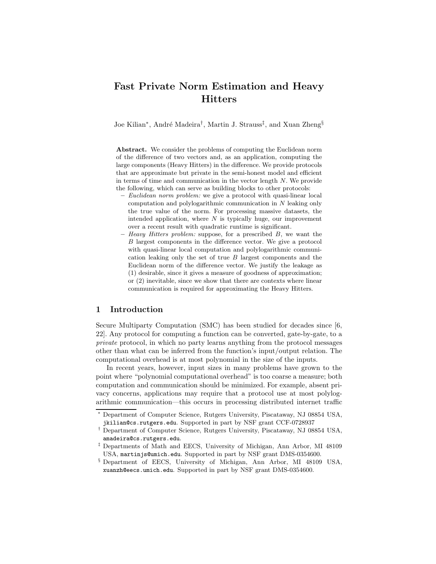# Fast Private Norm Estimation and Heavy **Hitters**

Joe Kilian\*, André Madeira<sup>†</sup>, Martin J. Strauss<sup>‡</sup>, and Xuan Zheng<sup>§</sup>

Abstract. We consider the problems of computing the Euclidean norm of the difference of two vectors and, as an application, computing the large components (Heavy Hitters) in the difference. We provide protocols that are approximate but private in the semi-honest model and efficient in terms of time and communication in the vector length  $N$ . We provide the following, which can serve as building blocks to other protocols:

- Euclidean norm problem: we give a protocol with quasi-linear local computation and polylogarithmic communication in N leaking only the true value of the norm. For processing massive datasets, the intended application, where  $N$  is typically huge, our improvement over a recent result with quadratic runtime is significant.
- $-$  Heavy Hitters problem: suppose, for a prescribed  $B$ , we want the B largest components in the difference vector. We give a protocol with quasi-linear local computation and polylogarithmic communication leaking only the set of true B largest components and the Euclidean norm of the difference vector. We justify the leakage as (1) desirable, since it gives a measure of goodness of approximation; or (2) inevitable, since we show that there are contexts where linear communication is required for approximating the Heavy Hitters.

# 1 Introduction

Secure Multiparty Computation (SMC) has been studied for decades since [6, 22]. Any protocol for computing a function can be converted, gate-by-gate, to a private protocol, in which no party learns anything from the protocol messages other than what can be inferred from the function's input/output relation. The computational overhead is at most polynomial in the size of the inputs.

In recent years, however, input sizes in many problems have grown to the point where "polynomial computational overhead" is too coarse a measure; both computation and communication should be minimized. For example, absent privacy concerns, applications may require that a protocol use at most polylogarithmic communication—this occurs in processing distributed internet traffic

<sup>∗</sup> Department of Computer Science, Rutgers University, Piscataway, NJ 08854 USA, jkilian@cs.rutgers.edu. Supported in part by NSF grant CCF-0728937

<sup>†</sup> Department of Computer Science, Rutgers University, Piscataway, NJ 08854 USA, amadeira@cs.rutgers.edu.

<sup>‡</sup> Departments of Math and EECS, University of Michigan, Ann Arbor, MI 48109 USA, martinjs@umich.edu. Supported in part by NSF grant DMS-0354600.

<sup>§</sup> Department of EECS, University of Michigan, Ann Arbor, MI 48109 USA, xuanzh@eecs.umich.edu. Supported in part by NSF grant DMS-0354600.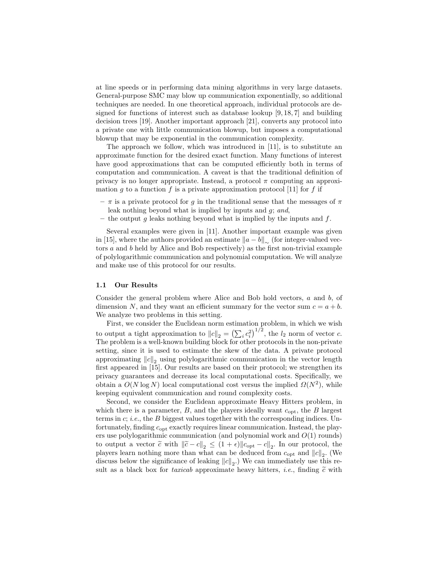at line speeds or in performing data mining algorithms in very large datasets. General-purpose SMC may blow up communication exponentially, so additional techniques are needed. In one theoretical approach, individual protocols are designed for functions of interest such as database lookup  $[9, 18, 7]$  and building decision trees [19]. Another important approach [21], converts any protocol into a private one with little communication blowup, but imposes a computational blowup that may be exponential in the communication complexity.

The approach we follow, which was introduced in [11], is to substitute an approximate function for the desired exact function. Many functions of interest have good approximations that can be computed efficiently both in terms of computation and communication. A caveat is that the traditional definition of privacy is no longer appropriate. Instead, a protocol  $\pi$  computing an approximation q to a function f is a private approximation protocol [11] for f if

- $-\pi$  is a private protocol for g in the traditional sense that the messages of  $\pi$ leak nothing beyond what is implied by inputs and g; and,
- the output g leaks nothing beyond what is implied by the inputs and  $f$ .

Several examples were given in [11]. Another important example was given in [15], where the authors provided an estimate  $||a - b||$ <sub>∴</sub> (for integer-valued vectors  $a$  and  $b$  held by Alice and Bob respectively) as the first non-trivial example of polylogarithmic communication and polynomial computation. We will analyze and make use of this protocol for our results.

#### 1.1 Our Results

Consider the general problem where Alice and Bob hold vectors, a and b, of dimension N, and they want an efficient summary for the vector sum  $c = a + b$ . We analyze two problems in this setting.

First, we consider the Euclidean norm estimation problem, in which we wish to output a tight approximation to  $||c||_2 = \left(\sum_i c_i^2\right)^{1/2}$ , the  $l_2$  norm of vector c. The problem is a well-known building block for other protocols in the non-private setting, since it is used to estimate the skew of the data. A private protocol approximating  $||c||_2$  using polylogarithmic communication in the vector length first appeared in [15]. Our results are based on their protocol; we strengthen its privacy guarantees and decrease its local computational costs. Specifically, we obtain a  $O(N \log N)$  local computational cost versus the implied  $\Omega(N^2)$ , while keeping equivalent communication and round complexity costs.

Second, we consider the Euclidean approximate Heavy Hitters problem, in which there is a parameter,  $B$ , and the players ideally want  $c_{\rm opt}$ , the  $B$  largest terms in  $c$ ; *i.e.*, the  $B$  biggest values together with the corresponding indices. Unfortunately, finding  $c_{\text{opt}}$  exactly requires linear communication. Instead, the players use polylogarithmic communication (and polynomial work and  $O(1)$  rounds) to output a vector  $\tilde{c}$  with  $\|\tilde{c} - c\|_2 \le (1 + \epsilon) \|\tilde{c}_{\text{opt}} - c\|_2$ . In our protocol, the players learn nothing more than what can be deduced from  $c_{opt}$  and  $||c||_2$ . (We discuss below the significance of leaking  $||c||_2$ .) We can immediately use this result as a black box for *taxicab* approximate heavy hitters, *i.e.*, finding  $\tilde{c}$  with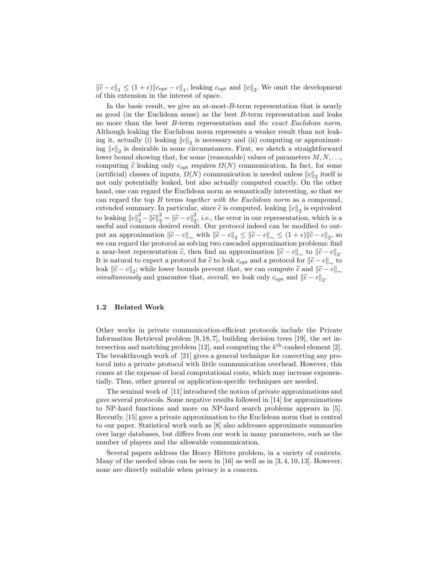$\|\tilde{c} - c\|_1 \leq (1 + \epsilon) \|c_{\text{opt}} - c\|_1$ , leaking  $c_{\text{opt}}$  and  $||c||_2$ . We omit the development of this extension in the interest of space.

In the basic result, we give an at-most- $B$ -term representation that is nearly as good (in the Euclidean sense) as the best B-term representation and leaks no more than the best B-term representation and the exact Euclidean norm. Although leaking the Euclidean norm represents a weaker result than not leaking it, actually (i) leaking  $||c||_2$  is necessary and (ii) computing or approximating  $||c||_2$  is desirable in some circumstances. First, we sketch a straightforward lower bound showing that, for some (reasonable) values of parameters  $M, N, \ldots$ , computing  $\tilde{c}$  leaking only  $c_{opt}$  requires  $\Omega(N)$  communication. In fact, for some (artificial) classes of inputs,  $\Omega(N)$  communication is needed unless  $||c||_2$  itself is not only potentially leaked, but also actually computed exactly. On the other hand, one can regard the Euclidean norm as semantically interesting, so that we can regard the top  $B$  terms together with the Euclidean norm as a compound, extended summary. In particular, since  $\tilde{c}$  is computed, leaking  $||c||_2$  is equivalent to leaking  $||c||_2^2 - ||\widetilde{c}||_2^2 = ||\widetilde{c} - c||_2^2$  $\frac{2}{2}$ , *i.e.*, the error in our representation, which is a useful and common desired result. Our protocol indeed can be modified to output an approximation  $\|\tilde{c} - c\|_{\infty}$  with  $\|\tilde{c} - c\|_{2} \le \|\tilde{c} - c\|_{\infty} \le (1 + \epsilon) \|\tilde{c} - c\|_{2}$ , so we can regard the protocol as solving two cascaded approximation problems: find a near-best representation  $\tilde{c}$ , then find an approximation  $\|\tilde{c} - c\|_{\infty}$  to  $\|\tilde{c} - c\|_{2}$ . It is natural to expect a protocol for  $\tilde{c}$  to leak  $c_{opt}$  and a protocol for  $\|\tilde{c} - c\|_{\infty}$  to leak  $\|\tilde{c} - c\|_2$ ; while lower bounds prevent that, we can compute  $\tilde{c}$  and  $\|\tilde{c} - c\|_{\sim}$ simultaneously and guarantee that, overall, we leak only  $c_{\text{opt}}$  and  $\|\tilde{c} - c\|_2$ .

## 1.2 Related Work

Other works in private communication-efficient protocols include the Private Information Retrieval problem [9, 18, 7], building decision trees [19], the set intersection and matching problem  $[12]$ , and computing the  $k^{\text{th}}$ -ranked element  $[2]$ . The breakthrough work of [21] gives a general technique for converting any protocol into a private protocol with little communication overhead. However, this comes at the expense of local computational costs, which may increase exponentially. Thus, other general or application-specific techniques are needed.

The seminal work of [11] introduced the notion of private approximations and gave several protocols. Some negative results followed in [14] for approximations to NP-hard functions and more on NP-hard search problems appears in [5]. Recently, [15] gave a private approximation to the Euclidean norm that is central to our paper. Statistical work such as [8] also addresses approximate summaries over large databases, but differs from our work in many parameters, such as the number of players and the allowable communication.

Several papers address the Heavy Hitters problem, in a variety of contexts. Many of the needed ideas can be seen in [16] as well as in [3, 4, 10, 13]. However, none are directly suitable when privacy is a concern.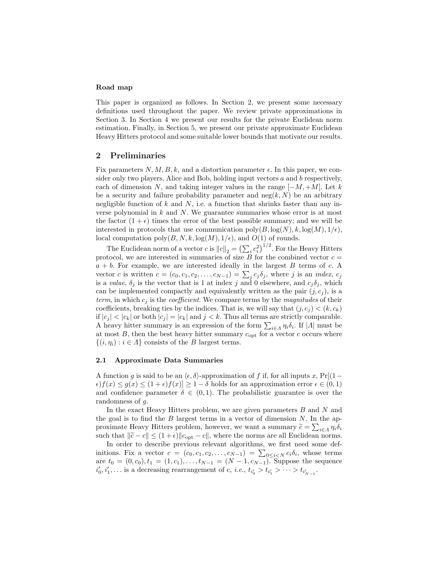#### Road map

This paper is organized as follows. In Section 2, we present some necessary definitions used throughout the paper. We review private approximations in Section 3. In Section 4 we present our results for the private Euclidean norm estimation. Finally, in Section 5, we present our private approximate Euclidean Heavy Hitters protocol and some suitable lower bounds that motivate our results.

# 2 Preliminaries

Fix parameters  $N, M, B, k$ , and a distortion parameter  $\epsilon$ . In this paper, we consider only two players, Alice and Bob, holding input vectors  $a$  and  $b$  respectively, each of dimension N, and taking integer values in the range  $[-M, +M]$ . Let k be a security and failure probability parameter and  $neg(k, N)$  be an arbitrary negligible function of  $k$  and  $N$ , i.e. a function that shrinks faster than any inverse polynomial in  $k$  and  $N$ . We guarantee summaries whose error is at most the factor  $(1 + \epsilon)$  times the error of the best possible summary; and we will be interested in protocols that use communication  $\text{poly}(B, \log(N), k, \log(M), 1/\epsilon),$ local computation  $\text{poly}(B, N, k, \log(M), 1/\epsilon)$ , and  $O(1)$  of rounds.

The Euclidean norm of a vector c is  $||c||_2 = \left(\sum_i c_i^2\right)^{1/2}$ . For the Heavy Hitters protocol, we are interested in summaries of size  $B$  for the combined vector  $c =$  $a + b$ . For example, we are interested ideally in the largest  $B$  terms of  $c$ . A vector c is written  $c = (c_0, c_1, c_2, \dots, c_{N-1}) = \sum_j c_j \delta_j$ , where j is an *index*, c<sub>j</sub> is a value,  $\delta_j$  is the vector that is 1 at index j and 0 elsewhere, and  $c_j \delta_j$ , which can be implemented compactly and equivalently written as the pair  $(j, c_j)$ , is a term, in which  $c_j$  is the *coefficient*. We compare terms by the *magnitudes* of their coefficients, breaking ties by the indices. That is, we will say that  $(j, c_j) < (k, c_k)$ if  $|c_j| < |c_k|$  or both  $|c_j| = |c_k|$  and  $j < k$ . Thus all terms are strictly comparable. A heavy hitter summary is an expression of the form  $\sum_{i\in\Lambda}\eta_i\delta_i$ . If  $|A|$  must be at most  $B$ , then the best heavy hitter summary  $c_{opt}$  for a vector c occurs where  $\{(i, \eta_i) : i \in \Lambda\}$  consists of the B largest terms.

### 2.1 Approximate Data Summaries

A function g is said to be an  $\langle \epsilon, \delta \rangle$ -approximation of f if, for all inputs x, Pr[(1–  $\epsilon$ ) $f(x) \leq g(x) \leq (1+\epsilon)f(x) \geq 1-\delta$  holds for an approximation error  $\epsilon \in (0,1)$ and confidence parameter  $\delta \in (0,1)$ . The probabilistic guarantee is over the randomness of g.

In the exact Heavy Hitters problem, we are given parameters  $B$  and  $N$  and the goal is to find the  $B$  largest terms in a vector of dimension  $N$ . In the approximate Heavy Hitters problem, however, we want a summary  $\tilde{c} = \sum_{i \in \Lambda} \eta_i \delta_i$ such that  $\|\tilde{c} - c\| \leq (1 + \epsilon) \|c_{\text{opt}} - c\|$ , where the norms are all Euclidean norms.

In order to describe previous relevant algorithms, we first need some definitions. Fix a vector  $c = (c_0, c_1, c_2, \ldots, c_{N-1}) = \sum_{0 \leq i \leq N} c_i \delta_i$ , whose terms are  $t_0 = (0, c_0), t_1 = (1, c_1), \ldots, t_{N-1} = (N-1, c_{N-1})$ . Suppose the sequence  $i'_0, i'_1, \ldots$  is a decreasing rearrangement of c, *i.e.*,  $t_{i'_0} > t_{i'_1} > \cdots > t_{i'_{N-1}}$ .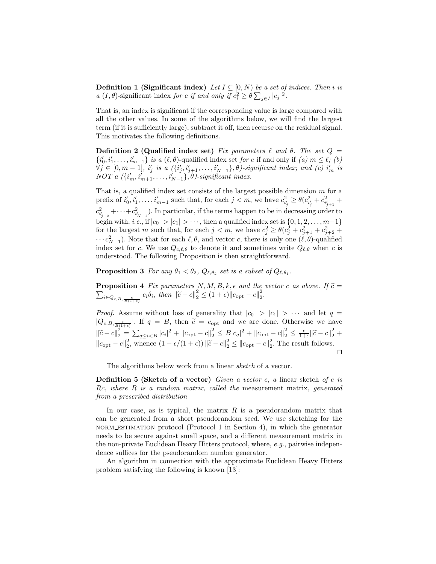**Definition 1 (Significant index)** Let  $I \subseteq [0, N)$  be a set of indices. Then i is a  $(I, \theta)$ -significant index for c if and only if  $c_i^2 \ge \theta \sum_{j \in I} |c_j|^2$ .

That is, an index is significant if the corresponding value is large compared with all the other values. In some of the algorithms below, we will find the largest term (if it is sufficiently large), subtract it off, then recurse on the residual signal. This motivates the following definitions.

Definition 2 (Qualified index set) Fix parameters  $\ell$  and  $\theta$ . The set  $Q =$  $\{i'_0, i'_1, \ldots, i'_{m-1}\}\$  is a  $(\ell, \theta)$ -qualified index set for c if and only if  $(a)$   $m \leq \ell$ ;  $(b)$  $\forall j \in [0, m-1], i'_j \text{ is a } (\{i'_j, i'_{j+1}, \ldots, i'_{N-1}\}, \theta)$ -significant index; and (c)  $i'_m$  is NOT a  $({i'_m, i'_{m+1}, \ldots, i'_{N-1}}, \theta)$ -significant index.

That is, a qualified index set consists of the largest possible dimension  $m$  for a prefix of  $i'_0, i'_1, \ldots, i'_{m-1}$  such that, for each  $j < m$ , we have  $c_{i'_j}^2 \geq \theta(c_{i'_j}^2 + c_{i'_{j+1}}^2 + \cdots + c_{i'_m}^2)$  $c_{i'_{j+2}}^2 + \cdots + c_{i'_{N-1}}^2$ ). In particular, if the terms happen to be in decreasing order to begin with, *i.e.*, if  $|c_0| > |c_1| > \cdots$ , then a qualified index set is  $\{0, 1, 2, \ldots, m-1\}$ for the largest m such that, for each  $j < m$ , we have  $c_j^2 \ge \theta(c_j^2 + c_{j+1}^2 + c_{j+2}^2 +$  $\cdots c_{N-1}^2$ ). Note that for each  $\ell, \theta$ , and vector c, there is only one  $(\ell, \theta)$ -qualified index set for c. We use  $Q_{c,\ell,\theta}$  to denote it and sometimes write  $Q_{\ell,\theta}$  when c is understood. The following Proposition is then straightforward.

**Proposition 3** For any  $\theta_1 < \theta_2$ ,  $Q_{\ell,\theta_2}$  set is a subset of  $Q_{\ell,\theta_1}$ .

Proposition 4 **Proposition 4** Fix parameters  $N, M, B, k, \epsilon$  and the vector c as above. If  $\tilde{c} = \sum_{c \in \delta_i} c_i \delta_i$ , then  $\|\tilde{c} - c\|_{2}^2 \leq (1 + \epsilon) \|c_{\text{ent}} - c\|_{2}^2$ .  $\sum_{i\in Q_{c,B},\frac{\epsilon}{B(1+\epsilon)}} c_i\delta_i, \ then \ \|\widetilde{c}-c\|_2^2 \leq (1+\epsilon)\|c_{\rm opt}-c\|_2^2$  $\frac{2}{2}$ .

*Proof.* Assume without loss of generality that  $|c_0| > |c_1| > \cdots$  and let  $q =$  $|Q_{c,B}, \frac{\epsilon}{B(1+\epsilon)}|$ . If  $q = B$ , then  $\tilde{c} = c_{\text{opt}}$  and we are done. Otherwise we have  $\|\tilde{c} - c\|_2^2 = \sum_{q \leq i < B} |c_i|^2 + \|c_{\text{opt}} - c\|_2^2 \leq B|c_q|^2 + \|c_{\text{opt}} - c\|_2^2 \leq \frac{\epsilon}{1+\epsilon} \|\tilde{c} - c\|_2^2 +$  $||c_{\text{opt}} - c||_2^2$ <sup>2</sup><sub>2</sub>, whence (1 −  $\epsilon/(1+\epsilon)$ )  $||\tilde{c} - c||_2^2 \le ||c_{opt} - c||_2^2$  $\frac{2}{2}$ . The result follows.  $\Box$ 

The algorithms below work from a linear *sketch* of a vector.

**Definition 5 (Sketch of a vector)** Given a vector c, a linear sketch of c is Rc, where R is a random matrix, called the measurement matrix, generated from a prescribed distribution

In our case, as is typical, the matrix  $R$  is a pseudorandom matrix that can be generated from a short pseudorandom seed. We use sketching for the norm estimation protocol (Protocol 1 in Section 4), in which the generator needs to be secure against small space, and a different measurement matrix in the non-private Euclidean Heavy Hitters protocol, where, e.g., pairwise independence suffices for the pseudorandom number generator.

An algorithm in connection with the approximate Euclidean Heavy Hitters problem satisfying the following is known [13]: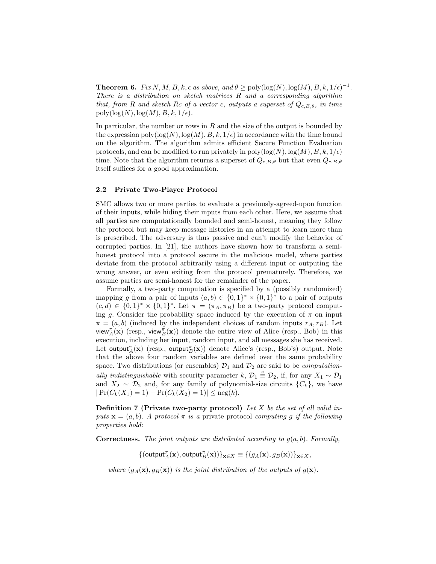**Theorem 6.** Fix N, M, B, k,  $\epsilon$  as above, and  $\theta \ge \text{poly}(\log(N), \log(M), B, k, 1/\epsilon)^{-1}$ . There is a distribution on sketch matrices R and a corresponding algorithm that, from R and sketch Rc of a vector c, outputs a superset of  $Q_{c,B,\theta}$ , in time  $poly(log(N), log(M), B, k, 1/\epsilon).$ 

In particular, the number or rows in  $R$  and the size of the output is bounded by the expression poly $(\log(N), \log(M), B, k, 1/\epsilon)$  in accordance with the time bound on the algorithm. The algorithm admits efficient Secure Function Evaluation protocols, and can be modified to run privately in  $\text{poly}(\log(N), \log(M), B, k, 1/\epsilon)$ time. Note that the algorithm returns a superset of  $Q_{c,B,\theta}$  but that even  $Q_{c,B,\theta}$ itself suffices for a good approximation.

### 2.2 Private Two-Player Protocol

SMC allows two or more parties to evaluate a previously-agreed-upon function of their inputs, while hiding their inputs from each other. Here, we assume that all parties are computationally bounded and semi-honest, meaning they follow the protocol but may keep message histories in an attempt to learn more than is prescribed. The adversary is thus passive and can't modify the behavior of corrupted parties. In [21], the authors have shown how to transform a semihonest protocol into a protocol secure in the malicious model, where parties deviate from the protocol arbitrarily using a different input or outputing the wrong answer, or even exiting from the protocol prematurely. Therefore, we assume parties are semi-honest for the remainder of the paper.

Formally, a two-party computation is specified by a (possibly randomized) mapping g from a pair of inputs  $(a, b) \in \{0, 1\}^* \times \{0, 1\}^*$  to a pair of outputs  $(c,d) \in \{0,1\}^* \times \{0,1\}^*$ . Let  $\pi = (\pi_A, \pi_B)$  be a two-party protocol computing g. Consider the probability space induced by the execution of  $\pi$  on input  $\mathbf{x} = (a, b)$  (induced by the independent choices of random inputs  $r_A, r_B$ ). Let view $^{\pi}_{A}(\mathbf{x})$  (resp., view $^{\pi}_{B}(\mathbf{x})$ ) denote the entire view of Alice (resp., Bob) in this execution, including her input, random input, and all messages she has received. Let  $\mathsf{output}_A^\pi(\mathbf{x})$  (resp.,  $\mathsf{output}_B^\pi(\mathbf{x}))$  denote Alice's (resp., Bob's) output. Note that the above four random variables are defined over the same probability space. Two distributions (or ensembles)  $\mathcal{D}_1$  and  $\mathcal{D}_2$  are said to be *computation*ally indistinguishable with security parameter k,  $\mathcal{D}_1 \equiv \mathcal{D}_2$ , if, for any  $X_1 \sim \mathcal{D}_1$ and  $X_2 \sim \mathcal{D}_2$  and, for any family of polynomial-size circuits  $\{C_k\}$ , we have  $|\Pr(C_k(X_1) = 1) - \Pr(C_k(X_2) = 1)| \leq \text{neg}(k).$ 

**Definition 7 (Private two-party protocol)** Let  $X$  be the set of all valid inputs  $\mathbf{x} = (a, b)$ . A protocol  $\pi$  is a private protocol computing q if the following properties hold:

**Correctness.** The joint outputs are distributed according to  $g(a, b)$ . Formally,

 $\{(\mathsf{output}_A^\pi(\mathbf{x}), \mathsf{output}_B^\pi(\mathbf{x}))\}_{\mathbf{x}\in X} \equiv \{(g_A(\mathbf{x}), g_B(\mathbf{x}))\}_{\mathbf{x}\in X},$ 

where  $(g_A(\mathbf{x}), g_B(\mathbf{x}))$  is the joint distribution of the outputs of  $g(\mathbf{x})$ .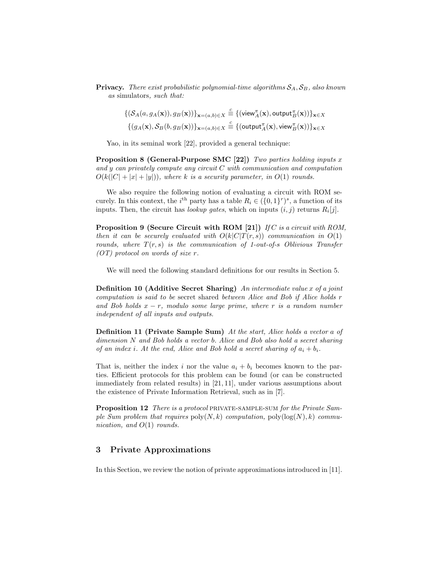**Privacy.** There exist probabilistic polynomial-time algorithms  $S_A$ ,  $S_B$ , also known as simulators, such that:

$$
\begin{aligned} & \{(\mathcal{S}_A(a,g_A(\mathbf{x})),g_B(\mathbf{x}))\}_{\mathbf{x}=(a,b)\in X} \stackrel{c}{=} \{(\mathsf{view}^\pi_A(\mathbf{x}),\mathsf{output}^\pi_B(\mathbf{x}))\}_{\mathbf{x}\in X} \\ & \{ (g_A(\mathbf{x}),\mathcal{S}_B(b,g_B(\mathbf{x}))\}_{\mathbf{x}=(a,b)\in X} \stackrel{c}{=} \{(\mathsf{output}^\pi_A(\mathbf{x}),\mathsf{view}^\pi_B(\mathbf{x}))\}_{\mathbf{x}\in X} \end{aligned}
$$

Yao, in its seminal work [22], provided a general technique:

**Proposition 8 (General-Purpose SMC [22])** Two parties holding inputs x and y can privately compute any circuit  $C$  with communication and computation  $O(k(|C| + |x| + |y|))$ , where k is a security parameter, in  $O(1)$  rounds.

We also require the following notion of evaluating a circuit with ROM securely. In this context, the *i*<sup>th</sup> party has a table  $R_i \in (\{0,1\}^r)^s$ , a function of its inputs. Then, the circuit has *lookup gates*, which on inputs  $(i, j)$  returns  $R_i[j]$ .

**Proposition 9 (Secure Circuit with ROM [21])** If C is a circuit with ROM, then it can be securely evaluated with  $O(k|C|T(r, s))$  communication in  $O(1)$ rounds, where  $T(r, s)$  is the communication of 1-out-of-s Oblivious Transfer  $(OT)$  protocol on words of size r.

We will need the following standard definitions for our results in Section 5.

Definition 10 (Additive Secret Sharing) An intermediate value x of a joint computation is said to be secret shared between Alice and Bob if Alice holds r and Bob holds  $x - r$ , modulo some large prime, where r is a random number independent of all inputs and outputs.

Definition 11 (Private Sample Sum) At the start, Alice holds a vector a of dimension N and Bob holds a vector b. Alice and Bob also hold a secret sharing of an index i. At the end, Alice and Bob hold a secret sharing of  $a_i + b_i$ .

That is, neither the index i nor the value  $a_i + b_i$  becomes known to the parties. Efficient protocols for this problem can be found (or can be constructed immediately from related results) in [21, 11], under various assumptions about the existence of Private Information Retrieval, such as in [7].

Proposition 12 There is a protocol PRIVATE-SAMPLE-SUM for the Private Sample Sum problem that requires  $poly(N, k)$  computation,  $poly(log(N), k)$  communication, and O(1) rounds.

# 3 Private Approximations

In this Section, we review the notion of private approximations introduced in [11].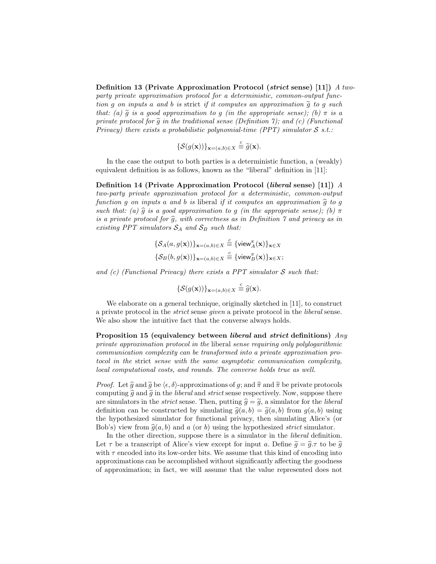Definition 13 (Private Approximation Protocol (strict sense) [11]) A twoparty private approximation protocol for a deterministic, common-output function g on inputs a and b is strict if it computes an approximation  $\tilde{q}$  to g such that: (a)  $\tilde{g}$  is a good approximation to g (in the appropriate sense); (b)  $\pi$  is a private protocol for  $\tilde{g}$  in the traditional sense (Definition 7); and (c) (Functional Privacy) there exists a probabilistic polynomial-time (PPT) simulator  $S$  s.t.:

$$
\{\mathcal{S}(g(\mathbf{x}))\}_{\mathbf{x}=(a,b)\in X}\stackrel{c}{\equiv}\widetilde{g}(\mathbf{x}).
$$

In the case the output to both parties is a deterministic function, a (weakly) equivalent definition is as follows, known as the "liberal" definition in [11]:

Definition 14 (Private Approximation Protocol (liberal sense) [11]) A two-party private approximation protocol for a deterministic, common-output function g on inputs a and b is liberal if it computes an approximation  $\hat{g}$  to g such that: (a)  $\hat{g}$  is a good approximation to g (in the appropriate sense); (b)  $\pi$ is a private protocol for  $\hat{g}$ , with correctness as in Definition 7 and privacy as in existing PPT simulators  $S_A$  and  $S_B$  such that:

$$
\begin{aligned} \{\mathcal{S}_A(a,g(\mathbf{x}))\}_{\mathbf{x}=(a,b)\in X} &\stackrel{c}{\equiv} \{\text{view}_A^{\pi}(\mathbf{x})\}_{\mathbf{x}\in X} \\ \{\mathcal{S}_B(b,g(\mathbf{x}))\}_{\mathbf{x}=(a,b)\in X} &\stackrel{c}{\equiv} \{\text{view}_B^{\pi}(\mathbf{x})\}_{\mathbf{x}\in X}; \end{aligned}
$$

and (c) (Functional Privacy) there exists a PPT simulator  $S$  such that:

$$
\{\mathcal{S}(g(\mathbf{x}))\}_{\mathbf{x}=(a,b)\in X}\stackrel{c}{\equiv}\widehat{g}(\mathbf{x}).
$$

We elaborate on a general technique, originally sketched in [11], to construct a private protocol in the strict sense given a private protocol in the liberal sense. We also show the intuitive fact that the converse always holds.

Proposition 15 (equivalency between *liberal* and *strict* definitions) Any private approximation protocol in the liberal sense requiring only polylogarithmic communication complexity can be transformed into a private approximation protocol in the strict sense with the same asymptotic communication complexity, local computational costs, and rounds. The converse holds true as well.

*Proof.* Let  $\hat{g}$  and  $\tilde{g}$  be  $\langle \epsilon, \delta \rangle$ -approximations of g; and  $\hat{\pi}$  and  $\tilde{\pi}$  be private protocols computing  $\hat{q}$  and  $\tilde{q}$  in the *liberal* and *strict* sense respectively. Now, suppose there are simulators in the *strict* sense. Then, putting  $\hat{q} = \tilde{q}$ , a simulator for the *liberal* definition can be constructed by simulating  $\hat{g}(a, b) = \tilde{g}(a, b)$  from  $g(a, b)$  using the hypothesized simulator for functional privacy, then simulating Alice's (or Bob's) view from  $\hat{g}(a, b)$  and a (or b) using the hypothesized *strict* simulator.

In the other direction, suppose there is a simulator in the liberal definition. Let  $\tau$  be a transcript of Alice's view except for input a. Define  $\tilde{g} = \hat{g}.\tau$  to be  $\hat{g}$ with  $\tau$  encoded into its low-order bits. We assume that this kind of encoding into approximations can be accomplished without significantly affecting the goodness of approximation; in fact, we will assume that the value represented does not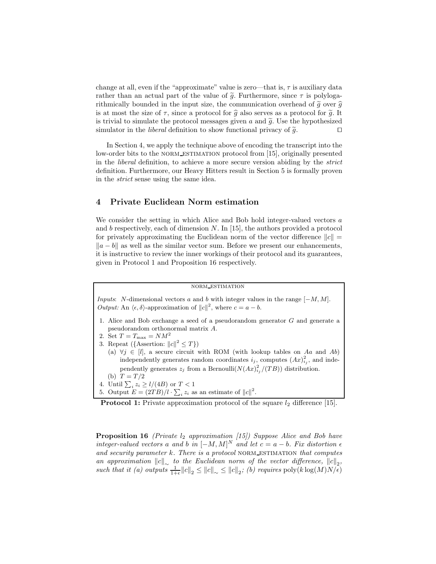change at all, even if the "approximate" value is zero—that is,  $\tau$  is auxiliary data rather than an actual part of the value of  $\tilde{g}$ . Furthermore, since  $\tau$  is polylogarithmically bounded in the input size, the communication overhead of  $\tilde{g}$  over  $\hat{g}$ is at most the size of  $\tau$ , since a protocol for  $\hat{g}$  also serves as a protocol for  $\tilde{g}$ . It is trivial to simulate the protocol messages given a and  $\tilde{g}$ . Use the hypothesized simulator in the *liberal* definition to show functional privacy of  $\tilde{q}$ . simulator in the *liberal* definition to show functional privacy of  $\tilde{g}$ .

In Section 4, we apply the technique above of encoding the transcript into the low-order bits to the NORM\_ESTIMATION protocol from [15], originally presented in the liberal definition, to achieve a more secure version abiding by the strict definition. Furthermore, our Heavy Hitters result in Section 5 is formally proven in the strict sense using the same idea.

# 4 Private Euclidean Norm estimation

We consider the setting in which Alice and Bob hold integer-valued vectors  $a$ and b respectively, each of dimension  $N$ . In [15], the authors provided a protocol for privately approximating the Euclidean norm of the vector difference  $||c|| =$  $||a - b||$  as well as the similar vector sum. Before we present our enhancements, it is instructive to review the inner workings of their protocol and its guarantees, given in Protocol 1 and Proposition 16 respectively.

#### norm estimation

Inputs: N-dimensional vectors a and b with integer values in the range  $[-M, M]$ . Output: An  $\langle \epsilon, \delta \rangle$ -approximation of  $||c||^2$ , where  $c = a - b$ .

- 1. Alice and Bob exchange a seed of a pseudorandom generator G and generate a pseudorandom orthonormal matrix A.
- 2. Set  $T = T_{\text{max}} = NM^2$
- 3. Repeat ({Assertion:  $||c||^2 \le T$ })
	- (a)  $\forall j \in [l]$ , a secure circuit with ROM (with lookup tables on Aa and Ab) independently generates random coordinates  $i_j$ , computes  $(Ax)_{i_j}^2$ , and independently generates  $z_j$  from a Bernoulli $(N(Ax)_{i_j}^2/(TB))$  distribution.
- (b)  $T = T/2$ 4. Until  $\sum_i z_i \ge l/(4B)$  or  $T < 1$
- 5. Output  $E = (2TB)/l \cdot \sum_i z_i$  as an estimate of  $||c||^2$ .

# **Protocol 1:** Private approximation protocol of the square  $l_2$  difference [15].

**Proposition 16** (Private  $l_2$  approximation [15]) Suppose Alice and Bob have integer-valued vectors a and b in  $[-M, M]^N$  and let  $c = a - b$ . Fix distortion  $\epsilon$ and security parameter  $k$ . There is a protocol NORM ESTIMATION that computes an approximation  $||c||_2$  to the Euclidean norm of the vector difference,  $||c||_2$ , such that it (a) outputs  $\frac{1}{1+\epsilon} ||c||_2 \leq ||c||_{\infty} \leq ||c||_2$ ; (b) requires  $\text{poly}(k \log(M)N/\epsilon)$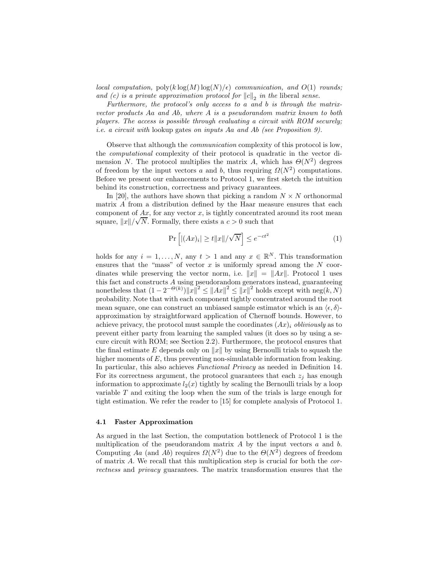local computation,  $poly(k \log(M) \log(N)/\epsilon)$  communication, and  $O(1)$  rounds; and (c) is a private approximation protocol for  $||c||_2$  in the liberal sense.

Furthermore, the protocol's only access to a and b is through the matrixvector products Aa and Ab, where A is a pseudorandom matrix known to both players. The access is possible through evaluating a circuit with ROM securely; i.e. a circuit with lookup gates on inputs Aa and Ab (see Proposition 9).

Observe that although the communication complexity of this protocol is low, the computational complexity of their protocol is quadratic in the vector dimension N. The protocol multiplies the matrix A, which has  $\Theta(N^2)$  degrees of freedom by the input vectors a and b, thus requiring  $\Omega(N^2)$  computations. Before we present our enhancements to Protocol 1, we first sketch the intuition behind its construction, correctness and privacy guarantees.

In [20], the authors have shown that picking a random  $N \times N$  orthonormal matrix A from a distribution defined by the Haar measure ensures that each component of  $Ax$ , for any vector x, is tightly concentrated around its root mean square,  $||x||/\sqrt{N}$ . Formally, there exists a  $c > 0$  such that

$$
\Pr\left[|(Ax)_i| \ge t ||x|| / \sqrt{N}\right] \le e^{-ct^2} \tag{1}
$$

holds for any  $i = 1, ..., N$ , any  $t > 1$  and any  $x \in \mathbb{R}^N$ . This transformation ensures that the "mass" of vector x is uniformly spread among the  $N$  coordinates while preserving the vector norm, i.e.  $||x|| = ||Ax||$ . Protocol 1 uses this fact and constructs A using pseudorandom generators instead, guaranteeing nonetheless that  $(1 - 2^{-\Theta(k)}) ||x||^2 \le ||Ax||^2 \le ||x||^2$  holds except with  $neg(k, N)$ probability. Note that with each component tightly concentrated around the root mean square, one can construct an unbiased sample estimator which is an  $\langle \epsilon, \delta \rangle$ approximation by straightforward application of Chernoff bounds. However, to achieve privacy, the protocol must sample the coordinates  $(Ax)_i$  obliviously as to prevent either party from learning the sampled values (it does so by using a secure circuit with ROM; see Section 2.2). Furthermore, the protocol ensures that the final estimate E depends only on  $||x||$  by using Bernoulli trials to squash the higher moments of  $E$ , thus preventing non-simulatable information from leaking. In particular, this also achieves Functional Privacy as needed in Definition 14. For its correctness argument, the protocol guarantees that each  $z_j$  has enough information to approximate  $l_2(x)$  tightly by scaling the Bernoulli trials by a loop variable T and exiting the loop when the sum of the trials is large enough for tight estimation. We refer the reader to [15] for complete analysis of Protocol 1.

### 4.1 Faster Approximation

As argued in the last Section, the computation bottleneck of Protocol 1 is the multiplication of the pseudorandom matrix  $A$  by the input vectors  $a$  and  $b$ . Computing Aa (and Ab) requires  $\Omega(N^2)$  due to the  $\Theta(N^2)$  degrees of freedom of matrix A. We recall that this multiplication step is crucial for both the correctness and privacy guarantees. The matrix transformation ensures that the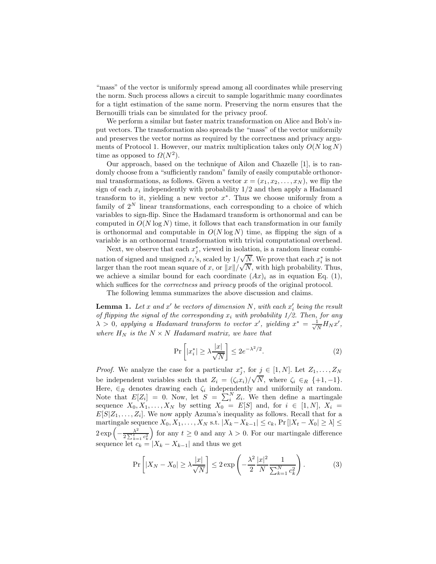"mass" of the vector is uniformly spread among all coordinates while preserving the norm. Such process allows a circuit to sample logarithmic many coordinates for a tight estimation of the same norm. Preserving the norm ensures that the Bernouilli trials can be simulated for the privacy proof.

We perform a similar but faster matrix transformation on Alice and Bob's input vectors. The transformation also spreads the "mass" of the vector uniformily and preserves the vector norms as required by the correctness and privacy arguments of Protocol 1. However, our matrix multiplication takes only  $O(N \log N)$ time as opposed to  $\Omega(N^2)$ .

Our approach, based on the technique of Ailon and Chazelle [1], is to randomly choose from a "sufficiently random" family of easily computable orthonormal transformations, as follows. Given a vector  $x = (x_1, x_2, \ldots, x_N)$ , we flip the sign of each  $x_i$  independently with probability  $1/2$  and then apply a Hadamard transform to it, yielding a new vector  $x^*$ . Thus we choose uniformly from a family of  $2^N$  linear transformations, each corresponding to a choice of which variables to sign-flip. Since the Hadamard transform is orthonormal and can be computed in  $O(N \log N)$  time, it follows that each transformation in our family is orthonormal and computable in  $O(N \log N)$  time, as flipping the sign of a variable is an orthonormal transformation with trivial computational overhead.

Next, we observe that each  $x_j^*$ , viewed in isolation, is a random linear combination of signed and unsigned  $x_i$ 's, scaled by  $1/\sqrt{\frac{N}{N}}$ . We prove that each  $x_i^*$  is not larger than the root mean square of x, or  $||x||/\sqrt{N}$ , with high probability. Thus, we achieve a similar bound for each coordinate  $(Ax)_i$  as in equation Eq. (1), which suffices for the *correctness* and *privacy* proofs of the original protocol.

The following lemma summarizes the above discussion and claims.

**Lemma 1.** Let x and x' be vectors of dimension N, with each  $x_i'$  being the result of flipping the signal of the corresponding  $x_i$  with probability 1/2. Then, for any  $\lambda > 0$ , applying a Hadamard transform to vector x', yielding  $x^* = \frac{1}{\sqrt{2}}$  $\frac{1}{N}H_Nx'$ , where  $H_N$  is the  $N \times N$  Hadamard matrix, we have that

$$
\Pr\left[|x_i^*| \ge \lambda \frac{|x|}{\sqrt{N}}\right] \le 2e^{-\lambda^2/2}.\tag{2}
$$

*Proof.* We analyze the case for a particular  $x_j^*$ , for  $j \in [1, N]$ . Let  $Z_1, \ldots, Z_N$ be independent variables such that  $Z_i = (\zeta_i x_i)/\sqrt{N}$ , where  $\zeta_i \in_R \{+1, -1\}.$ Here,  $\epsilon_R$  denotes drawing each  $\zeta_i$  independently and uniformily at random. Note that  $E[Z_i] = 0$ . Now, let  $S = \sum_i^N Z_i$ . We then define a martingale sequence  $X_0, X_1, \ldots, X_N$  by setting  $X_0 = E[S]$  and, for  $i \in [1, N]$ ,  $X_i =$  $E[S|Z_1, \ldots, Z_i]$ . We now apply Azuma's inequality as follows. Recall that for a martingale sequence  $X_0, X_1, \ldots, X_N$  s.t.  $|X_k - X_{k-1}| \leq c_k$ ,  $\Pr[|X_t - X_0| \geq \lambda] \leq$  $2 \exp \left(-\frac{\lambda^2}{2 \sum_{k=1}^t} \right)$  $2\sum_{k=1}^t c_k^2$ for any  $t \geq 0$  and any  $\lambda > 0$ . For our martingale difference sequence let  $c_k = |X_k - X_{k-1}|$  and thus we get

$$
\Pr\left[|X_N - X_0| \ge \lambda \frac{|x|}{\sqrt{N}}\right] \le 2 \exp\left(-\frac{\lambda^2}{2} \frac{|x|^2}{N} \frac{1}{\sum_{k=1}^N c_k^2}\right). \tag{3}
$$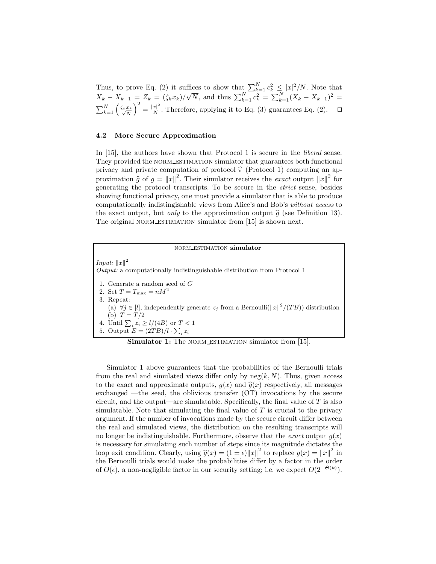Thus, to prove Eq. (2) it suffices to show that  $\sum_{k=1}^{N} c_k^2 \leq |x|^2/N$ . Note that  $X_k - X_{k-1} = Z_k = (\zeta_k x_k)/\sqrt{N}$ , and thus  $\sum_{k=1}^N \frac{z_k-1}{c_k^2} = \sum_{k=1}^N (X_k - X_{k-1})^2 =$  $\sum_{k=1}^{N} \left( \frac{\zeta_k x_k}{\sqrt{N}} \right)$  $\Big)^2 = \frac{|x|^2}{N}$  $\frac{x_1}{N}$ . Therefore, applying it to Eq. (3) guarantees Eq. (2).  $\Box$ 

## 4.2 More Secure Approximation

In [15], the authors have shown that Protocol 1 is secure in the liberal sense. They provided the NORM ESTIMATION simulator that guarantees both functional privacy and private computation of protocol  $\hat{\pi}$  (Protocol 1) computing an approximation  $\hat{g}$  of  $g = ||x||^2$ . Their simulator receives the exact output  $||x||^2$  for generating the protocol transcripts. To be secure in the strict sense, besides showing functional privacy, one must provide a simulator that is able to produce computationally indistingishable views from Alice's and Bob's without access to the exact output, but *only* to the approximation output  $\hat{g}$  (see Definition 13). The original NORM ESTIMATION simulator from [15] is shown next.

norm estimation simulator Input:  $||x||^2$ Output: a computationally indistinguishable distribution from Protocol 1 1. Generate a random seed of G 2. Set  $T = T_{\text{max}} = nM^2$ 3. Repeat: (a)  $\forall j \in [l]$ , independently generate  $z_j$  from a Bernoulli $(||x||^2/(TB))$  distribution (b)  $T = T/2$ 4. Until  $\sum_i z_i \ge l/(4B)$  or  $T < 1$ 5. Output  $E = (2TB)/l \cdot \sum_i z_i$ 

Simulator 1: The NORM ESTIMATION simulator from [15].

Simulator 1 above guarantees that the probabilities of the Bernoulli trials from the real and simulated views differ only by  $neg(k, N)$ . Thus, given access to the exact and approximate outputs,  $g(x)$  and  $\hat{g}(x)$  respectively, all messages exchanged —the seed, the oblivious transfer (OT) invocations by the secure circuit, and the output—are simulatable. Specifically, the final value of  $T$  is also simulatable. Note that simulating the final value of  $T$  is crucial to the privacy argument. If the number of invocations made by the secure circuit differ between the real and simulated views, the distribution on the resulting transcripts will no longer be indistinguishable. Furthermore, observe that the *exact* output  $q(x)$ is necessary for simulating such number of steps since its magnitude dictates the loop exit condition. Clearly, using  $\hat{g}(x) = (1 \pm \epsilon) ||x||^2$  to replace  $g(x) = ||x||^2$  in the Bernoulli trials would make the probabilities differ by a factor in the order of  $O(\epsilon)$ , a non-negligible factor in our security setting; i.e. we expect  $O(2^{-\Theta(k)})$ .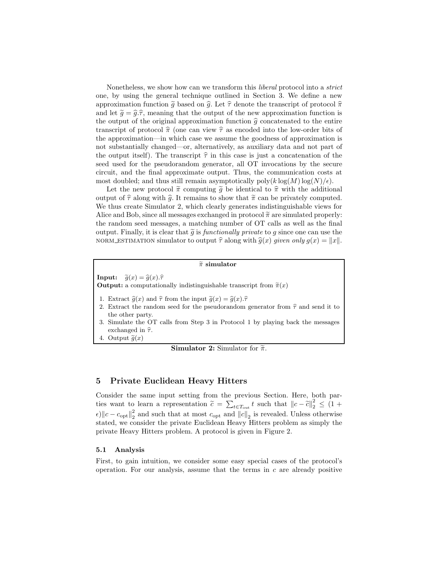Nonetheless, we show how can we transform this *liberal* protocol into a *strict* one, by using the general technique outlined in Section 3. We define a new approximation function  $\tilde{g}$  based on  $\hat{g}$ . Let  $\hat{\tau}$  denote the transcript of protocol  $\hat{\pi}$ and let  $\tilde{g} = \hat{g}.\hat{\tau}$ , meaning that the output of the new approximation function is the output of the original approximation function  $\hat{g}$  concatenated to the entire transcript of protocol  $\hat{\pi}$  (one can view  $\hat{\tau}$  as encoded into the low-order bits of the approximation—in which case we assume the goodness of approximation is not substantially changed—or, alternatively, as auxiliary data and not part of the output itself). The transcript  $\hat{\tau}$  in this case is just a concatenation of the seed used for the pseudorandom generator, all OT invocations by the secure circuit, and the final approximate output. Thus, the communication costs at most doubled; and thus still remain asymptotically  $\text{poly}(k \log(M) \log(N)/\epsilon)$ .

Let the new protocol  $\tilde{\pi}$  computing  $\tilde{q}$  be identical to  $\hat{\pi}$  with the additional output of  $\hat{\tau}$  along with  $\hat{g}$ . It remains to show that  $\tilde{\pi}$  can be privately computed. We thus create Simulator 2, which clearly generates indistinguishable views for Alice and Bob, since all messages exchanged in protocol  $\tilde{\pi}$  are simulated properly: the random seed messages, a matching number of OT calls as well as the final output. Finally, it is clear that  $\tilde{g}$  is functionally private to g since one can use the NORM ESTIMATION simulator to output  $\hat{\tau}$  along with  $\hat{g}(x)$  given only  $g(x) = ||x||$ .

#### $\widetilde{\pi}$  simulator

**Input:**  $\widetilde{g}(x) = \widehat{g}(x).\widehat{\tau}$ **Output:** a computationally indistinguishable transcript from  $\tilde{\pi}(x)$ 

- 1. Extract  $\hat{q}(x)$  and  $\hat{\tau}$  from the input  $\tilde{q}(x) = \hat{q}(x) \cdot \hat{\tau}$
- 2. Extract the random seed for the pseudorandom generator from  $\hat{\tau}$  and send it to the other party.
- 3. Simulate the OT calls from Step 3 in Protocol 1 by playing back the messages exchanged in  $\hat{\tau}$ .
- 4. Output  $\tilde{g}(x)$

**Simulator 2:** Simulator for  $\widetilde{\pi}$ .

# 5 Private Euclidean Heavy Hitters

Consider the same input setting from the previous Section. Here, both parties want to learn a representation  $\tilde{c} = \sum_{t \in T_{\text{out}}} t$  such that  $||c - \tilde{c}||_2^2 \leq (1 +$  $\epsilon$ )|| $c - c_{\rm opt}$ || $\frac{2}{2}$  $\frac{2}{2}$  and such that at most  $c_{\text{opt}}$  and  $||c||_2$  is revealed. Unless otherwise stated, we consider the private Euclidean Heavy Hitters problem as simply the private Heavy Hitters problem. A protocol is given in Figure 2.

#### 5.1 Analysis

First, to gain intuition, we consider some easy special cases of the protocol's operation. For our analysis, assume that the terms in  $c$  are already positive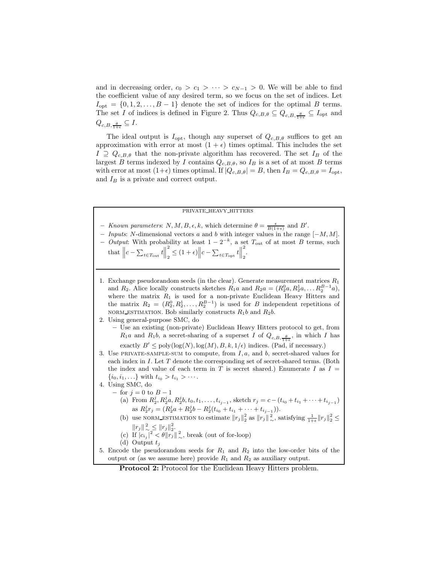and in decreasing order,  $c_0 > c_1 > \cdots > c_{N-1} > 0$ . We will be able to find the coefficient value of any desired term, so we focus on the set of indices. Let  $I_{\text{opt}} = \{0, 1, 2, \ldots, B - 1\}$  denote the set of indices for the optimal B terms. The set I of indices is defined in Figure 2. Thus  $Q_{c,B,\theta} \subseteq Q_{c,B,\frac{\theta}{1+\epsilon}} \subseteq I_{\text{opt}}$  and  $Q_{c,B,\frac{\theta}{1+\epsilon}} \subseteq I.$ 

The ideal output is  $I_{\text{opt}}$ , though any superset of  $Q_{c,B,\theta}$  suffices to get an approximation with error at most  $(1 + \epsilon)$  times optimal. This includes the set  $I \supseteq Q_{c,B,\theta}$  that the non-private algorithm has recovered. The set  $I_B$  of the largest B terms indexed by I contains  $Q_{c,B,\theta}$ , so  $I_B$  is a set of at most B terms with error at most  $(1+\epsilon)$  times optimal. If  $|Q_{c,B,\theta}| = B$ , then  $I_B = Q_{c,B,\theta} = I_{\text{opt}}$ , and  $I_B$  is a private and correct output.

## private heavy hitters

- Known parameters:  $N, M, B, \epsilon, k$ , which determine  $\theta = \frac{\epsilon}{B(1+\epsilon)}$  and  $B'$ .
- Inputs: N-dimensional vectors a and b with integer values in the range  $[-M, M]$ . − *Output*: With probability at least  $1 - 2^{-k}$ , a set  $T_{\text{out}}$  of at most B terms, such 2 2
- that  $||c \sum_{t \in T_{\text{out}}} t||$  $\frac{2}{2} \leq (1+\epsilon) \|c - \sum_{t \in T_{\text{opt}}} t\|$ 2 .
- 1. Exchange pseudorandom seeds (in the clear). Generate measurement matrices  $R_1$ and  $R_2$ . Alice locally constructs sketches  $R_1a$  and  $R_2a = (R_2^0a, R_2^1a, \dots R_2^{B-1}a)$ , where the matrix  $R_1$  is used for a non-private Euclidean Heavy Hitters and the matrix  $R_2 = (R_2^0, R_2^1, \ldots, R_2^{B-1})$  is used for B independent repetitions of NORM ESTIMATION. Bob similarly constructs  $R_1b$  and  $R_2b$ .

2. Using general-purpose SMC, do

- Use an existing (non-private) Euclidean Heavy Hitters protocol to get, from  $R_1a$  and  $R_1b$ , a secret-sharing of a superset I of  $Q_{c,B,\frac{\theta}{1+\epsilon}}$ , in which I has exactly  $B' \le \text{poly}(\log(N), \log(M), B, k, 1/\epsilon)$  indices. (Pad, if necessary.)
- 3. Use PRIVATE-SAMPLE-SUM to compute, from  $I, a$ , and  $b$ , secret-shared values for each index in I. Let T denote the corresponding set of secret-shared terms. (Both the index and value of each term in T is secret shared.) Enumerate I as  $I =$  $\{i_0, i_1, \ldots\}$  with  $t_{i_0} > t_{i_1} > \cdots$ .
- 4. Using SMC, do
	- for  $j = 0$  to  $B 1$ 
		- (a) From  $R_2^j$ ,  $R_2^j$ a,  $R_2^j$ b,  $t_0, t_1, \ldots, t_{i_{j-1}}$ , sketch  $r_j = c (t_{i_0} + t_{i_1} + \cdots + t_{i_{j-1}})$ as  $R_2^j r_j = (R_2^j a + R_2^j b - R_2^j (t_{i_0} + t_{i_1} + \cdots + t_{i_{j-1}})).$
		- (b) use NORM\_ESTIMATION to estimate  $||r_j||_2^2$  as  $||r_j||_\infty^2$ , satisfying  $\frac{1}{1+\epsilon}||r_j||_2^2 \leq$  $||r_j||^2_{\sim} \leq ||r_j||_2^2.$
		- (c) If  $|c_{i_j}|^2 < \theta ||r_j||^2_{\sim}$ , break (out of for-loop)
		- (d) Output  $t_j$
- 5. Encode the pseudorandom seeds for  $R_1$  and  $R_2$  into the low-order bits of the output or (as we assume here) provide  $R_1$  and  $R_2$  as auxiliary output.

Protocol 2: Protocol for the Euclidean Heavy Hitters problem.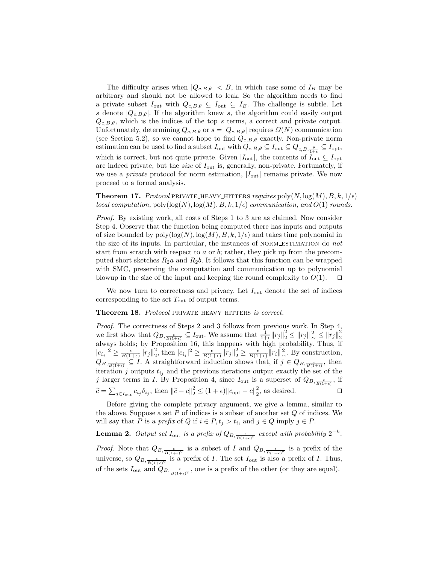The difficulty arises when  $|Q_{c,B,\theta}| < B$ , in which case some of  $I_B$  may be arbitrary and should not be allowed to leak. So the algorithm needs to find a private subset  $I_{\text{out}}$  with  $Q_{c,B,\theta} \subseteq I_{\text{out}} \subseteq I_B$ . The challenge is subtle. Let s denote  $|Q_{c,B,\theta}|$ . If the algorithm knew s, the algorithm could easily output  $Q_{c,B,\theta}$ , which is the indices of the top s terms, a correct and private output. Unfortunately, determining  $Q_{c,B,\theta}$  or  $s = |Q_{c,B,\theta}|$  requires  $\Omega(N)$  communication (see Section 5.2), so we cannot hope to find  $Q_{c,B,\theta}$  exactly. Non-private norm estimation can be used to find a subset  $I_{\text{out}}$  with  $Q_{c,B,\theta} \subseteq I_{\text{out}} \subseteq Q_{c,B,\frac{\theta}{1+\epsilon}} \subseteq I_{\text{opt}}$ , which is correct, but not quite private. Given  $|I_{\text{out}}|$ , the contents of  $I_{\text{out}} \subseteq I_{\text{opt}}$ are indeed private, but the *size* of  $I_{\text{out}}$  is, generally, non-private. Fortunately, if we use a *private* protocol for norm estimation,  $|I_{\text{out}}|$  remains private. We now proceed to a formal analysis.

**Theorem 17.** Protocol PRIVATE HEAVY HITTERS requires  $poly(N, log(M), B, k, 1/\epsilon)$ local computation,  $\text{poly}(\log(N), \log(M), B, k, 1/\epsilon)$  communication, and  $O(1)$  rounds.

Proof. By existing work, all costs of Steps 1 to 3 are as claimed. Now consider Step 4. Observe that the function being computed there has inputs and outputs of size bounded by  $poly(log(N), log(M), B, k, 1/\epsilon)$  and takes time polynomial in the size of its inputs. In particular, the instances of NORM ESTIMATION do not start from scratch with respect to a or b; rather, they pick up from the precomputed short sketches  $R_2a$  and  $R_2b$ . It follows that this function can be wrapped with SMC, preserving the computation and communication up to polynomial blowup in the size of the input and keeping the round complexity to  $O(1)$ .  $\square$ 

We now turn to correctness and privacy. Let  $I_{\text{out}}$  denote the set of indices corresponding to the set  $T_{\text{out}}$  of output terms.

Theorem 18. Protocol PRIVATE\_HEAVY\_HITTERS is correct.

Proof. The correctness of Steps 2 and 3 follows from previous work. In Step 4, we first show that  $Q_{B,\frac{\epsilon}{B(1+\epsilon)}} \subseteq I_{\text{out}}$ . We assume that  $\frac{1}{1+\epsilon} ||r_j||_2^2 \le ||r_j||_\infty^2 \le ||r_j||_2^2$ we mst show that  $\mathcal{Q}_{B,\overline{B(\mathbf{I}+\epsilon)}} \geq 2$  out. We assume that  $1+\epsilon \|f\|_2 \geq \|f\|_2 \geq \|f\|_2$  always holds; by Proposition 16, this happens with high probability. Thus, if  $|c_{i_j}|^2 \geq \frac{\epsilon}{B(1+\epsilon)} \|r_j\|_2^2$ <sup>2</sup>, then  $|c_{i_j}|^2 \ge \frac{\epsilon}{B(1+\epsilon)} ||r_j||_2^2 \ge \frac{\epsilon}{B(1+\epsilon)} ||r_i||_{\infty}^2$ . By construction,  $Q_{B,\frac{\epsilon}{B(1+\epsilon)}} \subseteq I$ . A straightforward induction shows that, if  $j \in Q_{B,\frac{\epsilon}{B(1+\epsilon)}},$  then iteration j outputs  $t_{i_j}$  and the previous iterations output exactly the set of the j larger terms in I. By Proposition 4, since  $I_{\text{out}}$  is a superset of  $Q_{B,\frac{\epsilon}{B(1+\epsilon)}},$  if  $\widetilde{c} = \sum_{j \in I_{\text{out}}} c_{i_j} \delta_{i_j}$ , then  $\|\widetilde{c} - c\|_2^2 \le (1 + \epsilon) \|c_{\text{opt}} - c\|_2^2$  $\frac{2}{2}$ , as desired.  $\Box$ 

Before giving the complete privacy argument, we give a lemma, similar to the above. Suppose a set  $P$  of indices is a subset of another set  $Q$  of indices. We will say that P is a prefix of Q if  $i \in P, t_j > t_i$ , and  $j \in Q$  imply  $j \in P$ .

**Lemma 2.** Output set  $I_{\text{out}}$  is a prefix of  $Q_{B, \frac{\epsilon}{B(1+\epsilon)^2}}$  except with probability  $2^{-k}$ . *Proof.* Note that  $Q_{B,\frac{\epsilon}{B(1+\epsilon)^2}}$  is a subset of I and  $Q_{B,\frac{\epsilon}{B(1+\epsilon)^2}}$  is a prefix of the universe, so  $Q_{B, \frac{\epsilon}{B(1+\epsilon)^2}}$  is a prefix of I. The set  $I_{\text{out}}$  is also a prefix of I. Thus, of the sets  $I_{\text{out}}$  and  $Q_{B, \frac{\epsilon}{B(1+\epsilon)^2}}$ , one is a prefix of the other (or they are equal).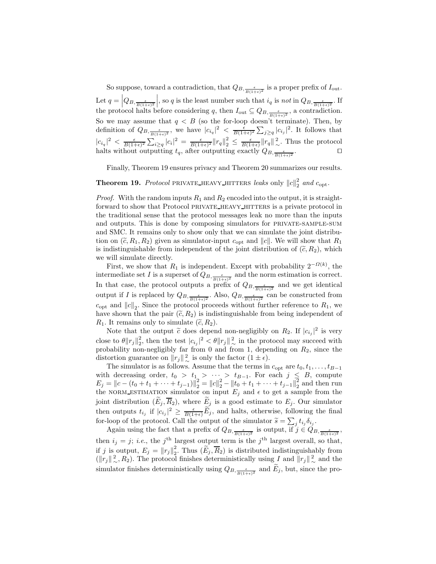So suppose, toward a contradiction, that  $Q_{B, \frac{\epsilon}{B(1+\epsilon)^2}}$  is a proper prefix of  $I_{\text{out}}$ . Let  $q = \left| Q_{B, \frac{\epsilon}{B(1+\epsilon)^2}} \right|$  $\Big|$ , so q is the least number such that  $i_q$  is not in  $Q_{B,\frac{\epsilon}{B(1+\epsilon)^2}}$ . If the protocol halts before considering q, then  $I_{\text{out}} \subseteq Q_{B, \frac{\epsilon}{B(1+\epsilon)^2}}$ , a contradiction. So we may assume that  $q < B$  (so the for-loop doesn't terminate). Then, by definition of  $Q_{B,\frac{\epsilon}{B(1+\epsilon)^2}}$ , we have  $|c_{i_q}|^2 < \frac{\epsilon}{B(1+\epsilon)^2} \sum_{j\geq q} |c_{i_j}|^2$ . It follows that  $|c_{i_q}|^2 < \frac{\epsilon}{B(1+\epsilon)^2} \sum_{i\geq q} |c_i|^2 = \frac{\epsilon}{B(1+\epsilon)^2} ||r_q||_2^2 \leq \frac{\epsilon}{B(1+\epsilon)} ||r_q||_{\infty}^2$  $\sim$ <sup>2</sup>. Thus the protocol halts without outputting  $t_q$ , after outputting exactly  $Q_{B, \frac{\epsilon}{B(1+\epsilon)^2}}$ .

Finally, Theorem 19 ensures privacy and Theorem 20 summarizes our results.

# **Theorem 19.** Protocol PRIVATE\_HEAVY\_HITTERS leaks only  $||c||_2^2$  and  $c_{\text{opt}}$ .

*Proof.* With the random inputs  $R_1$  and  $R_2$  encoded into the output, it is straightforward to show that Protocol PRIVATE\_HEAVY\_HITTERS is a private protocol in the traditional sense that the protocol messages leak no more than the inputs and outputs. This is done by composing simulators for private-sample-sum and SMC. It remains only to show only that we can simulate the joint distribution on  $(\tilde{c}, R_1, R_2)$  given as simulator-input  $c_{opt}$  and  $||c||$ . We will show that  $R_1$ is indistinguishable from independent of the joint distribution of  $(\tilde{c}, R_2)$ , which we will simulate directly.

First, we show that  $R_1$  is independent. Except with probability  $2^{-\Omega(k)}$ , the intermediate set I is a superset of  $Q_{B, \frac{\epsilon}{B(1+\epsilon)^2}}$  and the norm estimation is correct. In that case, the protocol outputs a prefix of  $Q_{B, \frac{\epsilon}{B(1+\epsilon)^2}}$  and we get identical output if I is replaced by  $Q_{B, \frac{\epsilon}{B(1+\epsilon)^2}}$ . Also,  $Q_{B, \frac{\epsilon}{B(1+\epsilon)^2}}$  can be constructed from  $c_{\text{opt}}$  and  $||c||_2$ . Since the protocol proceeds without further reference to  $R_1$ , we have shown that the pair  $(\tilde{c}, R_2)$  is indistinguishable from being independent of  $R_1$ . It remains only to simulate  $(\tilde{c}, R_2)$ .

Note that the output  $\tilde{c}$  does depend non-negligibly on  $R_2$ . If  $|c_{i_j}|^2$  is very close to  $\theta ||r_j||_2^2$ <sup>2</sup>, then the test  $|c_{i_j}|^2 < \theta ||r_j||^2$  $\frac{2}{\gamma}$  in the protocol may succeed with probability non-negligibly far from 0 and from 1, depending on  $R_2$ , since the distortion guarantee on  $||r_j||^2_{\sim}$  is only the factor  $(1 \pm \epsilon)$ .

The simulator is as follows. Assume that the terms in  $c_{\text{opt}}$  are  $t_0, t_1, \ldots, t_{B-1}$ with decreasing order,  $t_0 > t_1 > \cdots > t_{B-1}$ . For each  $j \leq B$ , compute  $E_j = ||c - (t_0 + t_1 + \dots + t_{j-1})||_2^2 = ||c||_2^2 - ||t_0 + t_1 + \dots + t_{j-1}||_2^2$  $\frac{2}{2}$  and then run the NORM ESTIMATION simulator on input  $E_j$  and  $\epsilon$  to get a sample from the joint distribution  $(\widetilde{E}_j, \overline{R}_2)$ , where  $\widetilde{E}_j$  is a good estimate to  $E_j$ . Our simulator then outputs  $t_{i_j}$  if  $|c_{i_j}|^2 \geq \frac{\epsilon}{B(1+\epsilon)} \tilde{E}_j$ , and halts, otherwise, following the final for-loop of the protocol. Call the output of the simulator  $\widetilde{s} = \sum_j t_{ij} \delta_{ij}$ .

Again using the fact that a prefix of  $Q_{B, \frac{\epsilon}{B(1+\epsilon)^2}}$  is output, if  $j \in Q_{B, \frac{\epsilon}{B(1+\epsilon)^2}}$ , then  $i_j = j$ ; *i.e.*, the j<sup>th</sup> largest output term is the j<sup>th</sup> largest overall, so that, if j is output,  $E_j = ||r_j||_2^2$ <sup>2</sup>. Thus  $(E_j, R_2)$  is distributed indistinguishably from  $(\|r_j\|_{\infty}^2, R_2)$ . The protocol finishes deterministically using I and  $\|r_j\|_{\infty}^2$  and the simulator finishes deterministically using  $Q_{B,\frac{\epsilon}{B(1+\epsilon)^2}}$  and  $\widetilde{E}_j$ , but, since the pro-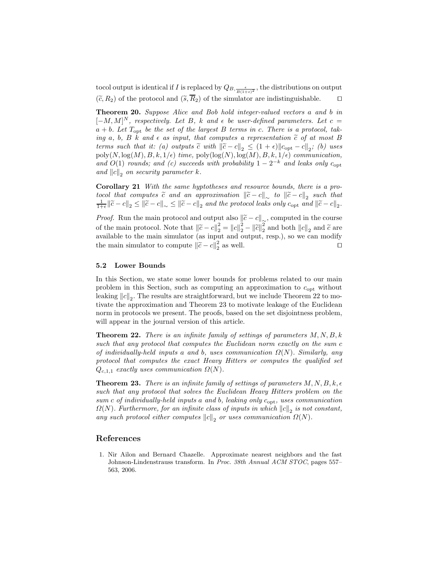tocol output is identical if I is replaced by  $Q_{B, \frac{\epsilon}{B(1+\epsilon)^2}}$ , the distributions on output  $(\tilde{c}, R_2)$  of the protocol and  $(\tilde{s}, \overline{R}_2)$  of the simulator are indistinguishable.  $\Box$ 

Theorem 20. Suppose Alice and Bob hold integer-valued vectors a and b in  $[-M, M]^N$ , respectively. Let B, k and  $\epsilon$  be user-defined parameters. Let  $c =$  $a + b$ . Let  $T_{\text{opt}}$  be the set of the largest B terms in c. There is a protocol, taking a, b, B k and  $\epsilon$  as input, that computes a representation  $\tilde{c}$  of at most B terms such that it: (a) outputs  $\tilde{c}$  with  $\|\tilde{c} - c\|_2 \le (1 + \epsilon) \|c_{\text{opt}} - c\|_2$ ; (b) uses  $poly(N, \log(M), B, k, 1/\epsilon)$  time,  $poly(\log(N), \log(M), B, k, 1/\epsilon)$  communication, and  $O(1)$  rounds; and (c) succeeds with probability  $1-2^{-k}$  and leaks only  $c_{opt}$ and  $||c||_2$  on security parameter k.

Corollary 21 With the same hyptotheses and resource bounds, there is a protocol that computes  $\tilde{c}$  and an approximation  $\|\tilde{c} - c\|_{\infty}$  to  $\|\tilde{c} - c\|_2$  such that  $\frac{1}{1+\epsilon} \|\tilde{c} - c\|_2 \leq \|\tilde{c} - c\|_{\infty} \leq \|\tilde{c} - c\|_2$  and the protocol leaks only  $c_{\text{opt}}$  and  $\|\tilde{c} - c\|_2$ .

*Proof.* Run the main protocol and output also  $\|\tilde{c} - c\|_{\infty}$ , computed in the course of the main protocol. Note that  $\|\tilde{c} - c\|_2^2 = \|c\|_2^2 - \|\tilde{c}\|_2^2$ of the main protocol. Note that  $\|\tilde{c} - c\|_2^2 = \|c\|_2^2 - \|\tilde{c}\|_2^2$  and both  $\|c\|_2$  and  $\tilde{c}$  are available to the main simulator (as input and output, resp.), so we can modify the main simulator to compute  $\|\tilde{c} - c\|_2^2$  $\frac{2}{2}$  as well.

#### 5.2 Lower Bounds

In this Section, we state some lower bounds for problems related to our main problem in this Section, such as computing an approximation to  $c_{opt}$  without leaking  $||c||_2$ . The results are straightforward, but we include Theorem 22 to motivate the approximation and Theorem 23 to motivate leakage of the Euclidean norm in protocols we present. The proofs, based on the set disjointness problem, will appear in the journal version of this article.

**Theorem 22.** There is an infinite family of settings of parameters  $M, N, B, k$ such that any protocol that computes the Euclidean norm exactly on the sum c of individually-held inputs a and b, uses communication  $\Omega(N)$ . Similarly, any protocol that computes the exact Heavy Hitters or computes the qualified set  $Q_{c,1,1}$  exactly uses communication  $\Omega(N)$ .

**Theorem 23.** There is an infinite family of settings of parameters  $M, N, B, k, \epsilon$ such that any protocol that solves the Euclidean Heavy Hitters problem on the sum c of individually-held inputs a and b, leaking only  $c_{\rm opt}$ , uses communication  $\Omega(N)$ . Furthermore, for an infinite class of inputs in which  $||c||_2$  is not constant, any such protocol either computes  $||c||_2$  or uses communication  $\Omega(N)$ .

# References

1. Nir Ailon and Bernard Chazelle. Approximate nearest neighbors and the fast Johnson-Lindenstrauss transform. In Proc. 38th Annual ACM STOC, pages 557– 563, 2006.